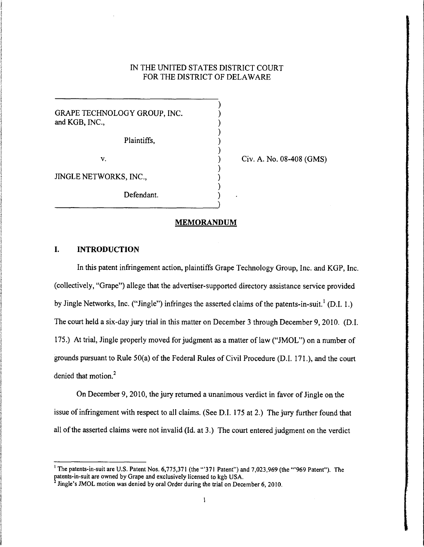# IN THE UNITED STATES DISTRICT COURT FOR THE DISTRICT OF DELAWARE

) ) ) ) ) ) ) ) ) ) )

GRAPE TECHNOLOGY GROUP, INC. and KGB, INC.,

Plaintiffs,

V.

Civ. A. No. 08-408 (GMS)

JINGLE NETWORKS, INC.,

Defendant.

### **MEMORANDUM**

# **I. INTRODUCTION**

In this patent infringement action, plaintiffs Grape Technology Group, Inc. and KGP, Inc. (collectively, "Grape") allege that the advertiser-supported directory assistance service provided by Jingle Networks, Inc. ("Jingle") infringes the asserted claims of the patents-in-suit.<sup>1</sup> (D.I. 1.) The court held a six-day jury trial in this matter on December 3 through December 9, 2010. (D.I. 175.) At trial, Jingle properly moved for judgment as a matter of law ("JMOL") on a number of grounds pursuant to Rule SO(a) of the Federal Rules of Civil Procedure (D.I. 171.), and the court denied that motion.<sup>2</sup>

On December 9, 2010, the jury returned a unanimous verdict in favor of Jingle on the issue of infringement with respect to all claims. (See D.l. 175 at 2.) The jury further found that all of the asserted claims were not invalid (Id. at 3.) The court entered judgment on the verdict

<sup>&</sup>lt;sup>1</sup> The patents-in-suit are U.S. Patent Nos. 6,775,371 (the "'371 Patent") and 7,023,969 (the "'969 Patent"). The patents-in-suit are owned by Grape and exclusively licensed to kgb USA.

 $<sup>2</sup>$  Jingle's JMOL motion was denied by oral Order during the trial on December 6, 2010.</sup>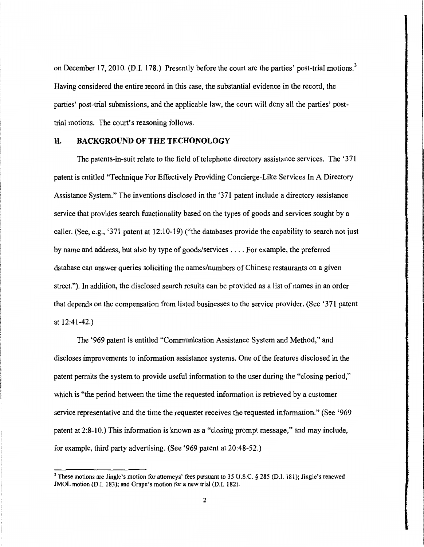on December 17, 2010. (D.I. 178.) Presently before the court are the parties' post-trial motions.<sup>3</sup> Having considered the entire record in this case, the substantial evidence in the record, the parties' post-trial submissions, and the applicable law, the court will deny all the parties' posttrial motions. The court's reasoning follows.

## II. **BACKGROUND OF THE TECHONOLOGY**

The patents-in-suit relate to the field of telephone directory assistance services. The '371 patent is entitled "Technique For Effectively Providing Concierge-Like Services In A Directory Assistance System." The inventions disclosed in the '371 patent include a directory assistance service that provides search functionality based on the types of goods and services sought by a caller. (See, e.g., '371 patent at 12:10-19) ("the databases provide the capability to search notjust by name and address, but also by type of goods/services .... For example, the preferred database can answer queries soliciting the names/numbers of Chinese restaurants on a given street."). In addition, the disclosed search results can be provided as a list of names in an order that depends on the compensation from listed businesses to the service provider. (See '371 patent at 12:41-42.)

The '969 patent is entitled "Communication Assistance System and Method," and discloses improvements to information assistance systems. One of the features disclosed in the patent permits the system to provide useful information to the user during the "closing period," which is "the period between the time the requested information is retrieved by a customer service representative and the time the requester receives the requested information." (See '969 patent at 2:8-10.) This information is known as a "closing prompt message," and may include, for example, third party advertising. (See '969 patent at 20:48-52.)

<sup>&</sup>lt;sup>3</sup> These motions are Jingle's motion for attorneys' fees pursuant to 35 U.S.C. § 285 (D.I. 181); Jingle's renewed JMOL motion (D.I. 183); and Grape's motion for a new trial (D.I. 182).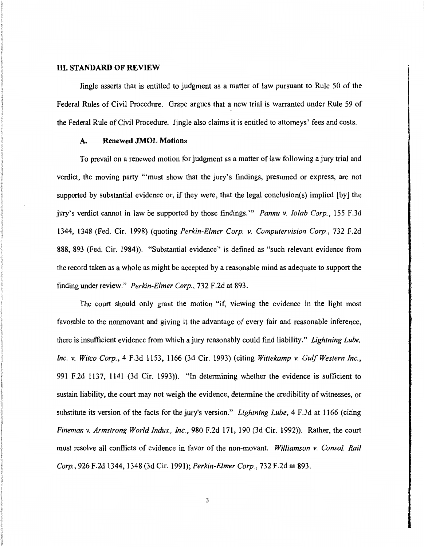#### **III. STANDARD OF REVIEW**

Jingle asserts that is entitled to judgment as a matter of law pursuant to Rule 50 of the Federal Rules of Civil Procedure. Grape argues that a new trial is warranted under Rule 59 of the Federal Rule of Civil Procedure. Jingle also claims it is entitled to attorneys' fees and costs.

## **A. Renewed JMOL Motions**

To prevail on a renewed motion for judgment as a matter of law following a jury trial and verdict, the moving party '"must show that the jury's findings, presumed or express, are not supported by substantial evidence or, if they were, that the legal conclusion(s) implied [by] the jury's verdict cannot in law be supported by those findings.'" *Pannu* v. *Jolab Corp.,* 155 F.3d 1344, 1348 (Fed. Cir. 1998) (quoting *Perkin-Elmer Corp.* v. *Computervision Corp.,* 732 F.2d 888, 893 (Fed. Cir. 1984)). "Substantial evidence" is defined as "such relevant evidence from the record taken as a whole as might be accepted by a reasonable mind as adequate to support the finding under review." *Perkin-Elmer Corp.,* 732 F.2d at 893.

The court should only grant the motion "if, viewing the evidence in the light most favorable to the nonmovant and giving it the advantage of every fair and reasonable inference, there is insufficient evidence from which a jury reasonably could find liability." *Lightning Lube, Inc.* v. *Witco Corp.,* 4 F.3d 1153, 1166 (3d Cir. 1993) (citing *Wittekamp* v. *GulfWestern Inc.,*  991 F.2d 1137, 1141 (3d Cir. 1993)). "In determining whether the evidence is sufficient to sustain liability, the court may not weigh the evidence, determine the credibility of witnesses, or substitute its version of the facts for the jury's version." *Lightning Lube,* 4 F.3d at 1166 (citing *Fineman* v. *Armstrong World Indus., Inc.,* 980 F.2d 171, 190 (3d Cir. 1992)). Rather, the court must resolve all conflicts of evidence in favor of the non-movant. *Williamson* v. *Canso/. Rail Corp.,* 926 F.2d 1344, 1348 (3d Cir. 1991); *Perkin-Elmer Corp.,* 732 F.2d at 893.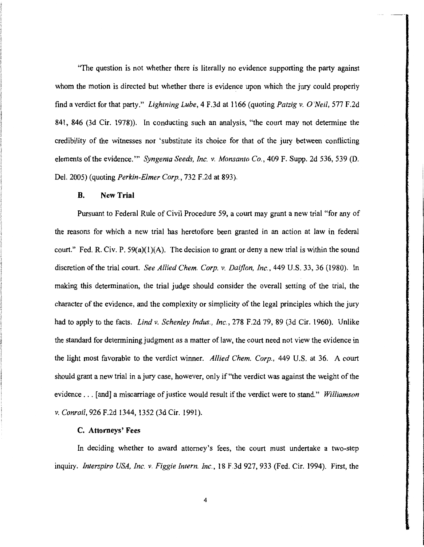"The question is not whether there is literally no evidence supporting the party against whom the motion is directed but whether there is evidence upon which the jury could properly find a verdict for that party." *Lightning Lube,* 4 F.3d at 1166 (quoting *Patzig v. O'Neil,* 577 F.2d 841, 846 (3d Cir. 1978)). In conducting such an analysis, "the court may not determine the credibility of the witnesses nor 'substitute its choice for that of the jury between conflicting elements of the evidence.'" *Syngenta Seeds, Inc. v. Monsanto Co.,* 409 F. Supp. 2d 536, 539 (D. Del. 2005) (quoting *Perkin-Elmer Corp.,* 732 F.2d at 893).

#### **B.** New **Trial**

Pursuant to Federal Rule of Civil Procedure 59, a court may grant a new trial "for any of the reasons for which a new trial has heretofore been granted in an action at law in federal court." Fed. R. Civ. P.  $59(a)(1)(A)$ . The decision to grant or deny a new trial is within the sound discretion of the trial court. *See Allied Chern. Corp. v. Daiflon, Inc.,* 449 U.S. 33, 36 (1980). In making this determination, the trial judge should consider the overall setting of the trial, the character of the evidence, and the complexity or simplicity of the legal principles which the jury had to apply to the facts. *Lind v. Schenley Indus., Inc.,* 278 F.2d 79, 89 (3d Cir. 1960). Unlike the standard for determining judgment as a matter of law, the court need not view the evidence in the light most favorable to the verdict winner. *Allied Chern. Corp.,* 449 U.S. at 36. A court should grant a new trial in a jury case, however, only if "the verdict was against the weight of the evidence ... [and] a miscarriage of justice would result if the verdict were to stand." *Williamson v. Conrail,* 926 F.2d 1344, 1352 (3d Cir. 1991).

### C. Attorneys' Fees

In deciding whether to award attorney's fees, the court must undertake a two-step inquiry. *Interspiro USA, Inc. v. Figgie Intern. Inc.,* 18 F.3d 927, 933 (Fed. Cir. 1994). First, the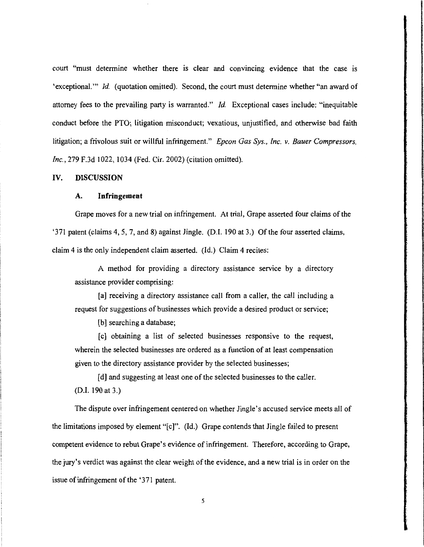court "must determine whether there is clear and convincing evidence that the case is 'exceptional."' *ld.* (quotation omitted). Second, the court must determine whether "an award of attorney fees to the prevailing party is warranted." Jd. Exceptional cases include: "inequitable conduct before the PTO; litigation misconduct; vexatious, unjustified, and otherwise bad faith litigation; a frivolous suit or willful infringement." *Epcon Gas Sys., Inc. v. Bauer Compressors,*  Inc., 279 F.3d 1022, 1034 (Fed. Cir. 2002) (citation omitted).

## IV. DISCUSSION

## A. Infringement

Grape moves for a new trial on infringement. At trial, Grape asserted four claims of the '371 patent (claims 4, 5, 7, and 8) against Jingle. (D.I. 190 at 3.) Of the four asserted claims, claim 4 is the only independent claim asserted. (ld.) Claim 4 recites:

A method for providing a directory assistance service by a directory assistance provider comprising:

[a] receiving a directory assistance call from a caller, the call including a request for suggestions of businesses which provide a desired product or service;

[b] searching a database;

[c) obtaining a list of selected businesses responsive to the request, wherein the selected businesses are ordered as a function of at least compensation given to the directory assistance provider by the selected businesses;

[d] and suggesting at least one of the selected businesses to the caller. (0.1. I90 at 3.)

The dispute over infringement centered on whether Jingle's accused service meets all of the limitations imposed by element "[c]". (ld.) Grape contends that Jingle failed to present competent evidence to rebut Grape's evidence of infringement. Therefore, according to Grape, the jury's verdict was against the clear weight of the evidence, and a new trial is in order on the issue of infringement of the '371 patent.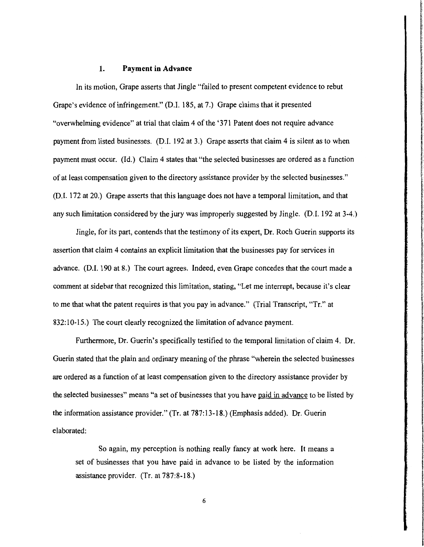## **1. Payment in Advance**

In its motion, Grape asserts that Jingle "failed to present competent evidence to rebut Grape's evidence of infringement." (D.I. 185, at 7.) Grape claims that it presented "overwhelming evidence" at trial that claim 4 of the '371 Patent does not require advance payment from listed businesses. (D.I. 192 at 3.) Grape asserts that claim 4 is silent as to when payment must occur. (Id.) Claim 4 states that "the selected businesses are ordered as a function of at least compensation given to the directory assistance provider by the selected businesses." (D.I. 172 at 20.) Grape asserts that this language does not have a temporal limitation, and that any such limitation considered by the jury was improperly suggested by Jingle. (D.I. 192 at 3-4.)

**International Advanced American International** 

*i* 

**International Control Control** 

a dell'Albandella Medical Politica<br>Il della Albandella Medical Politica

**In the contract of the contract of the State of State of the Contract of State of State of State of State of** 

Jingle, for its part, contends that the testimony of its expert, Dr. Roch Guerin supports its assertion that claim 4 contains an explicit limitation that the businesses pay for services in advance. (D.I. 190 at 8.) The court agrees. Indeed, even Grape concedes that the court made a comment at sidebar that recognized this limitation, stating, "Let me interrupt, because it's clear to me that what the patent requires is that you pay in advance." (Trial Transcript, "Tr." at 832:10-15.) The court clearly recognized the limitation of advance payment.

Furthermore, Dr. Guerin's specifically testified to the temporal limitation of claim 4. Dr. Guerin stated that the plain and ordinary meaning of the phrase "wherein the selected businesses are ordered as a function of at least compensation given to the directory assistance provider by the selected businesses" means "a set of businesses that you have paid in advance to be listed by the information assistance provider." (Tr. at 787:13-18.) (Emphasis added). Dr. Guerin elaborated:

So again, my perception is nothing really fancy at work here. It means a set of businesses that you have paid in advance to be listed by the information assistance provider. (Tr. at 787:8-18.)

6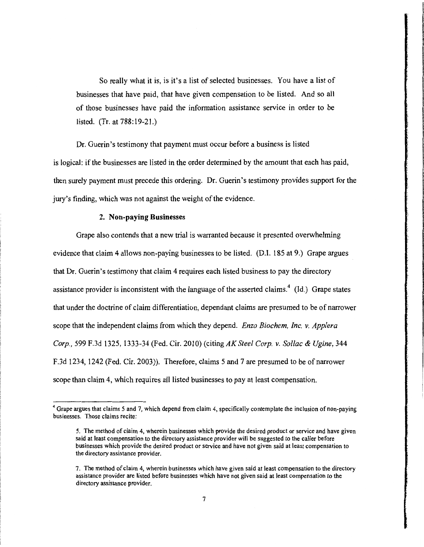So really what it is, is it's a list of selected businesses. You have a list of businesses that have paid, that have given compensation to be listed. And so all of those businesses have paid the information assistance service in order to be listed. (Tr. at 788: 19-21.)

f and we have the complete state

In this download the composition is a second intervals.

last information of the complete state of the complete state of the complete state of the complete state of the

in the column of the column of the column of the column of the column of the column of the column of the column<br>In the column of the column of the column of the column of the column of the column of the column of the colum

**In which control in the state of the state** 

Dr. Guerin's testimony that payment must occur before a business is listed is logical: if the businesses are listed in the order determined by the amount that each has paid, then surely payment must precede this ordering. Dr. Guerin's testimony provides support for the jury's finding, which was not against the weight of the evidence.

# 2. Non-paying Businesses

Grape also contends that a new trial is warranted because it presented overwhelming evidence that claim 4 allows non-paying businesses to be listed. (D.I. 185 at 9.) Grape argues that Dr. Guerin's testimony that claim 4 requires each listed business to pay the directory assistance provider is inconsistent with the language of the asserted claims.<sup>4</sup> (Id.) Grape states that under the doctrine of claim differentiation, dependant claims are presumed to be of narrower scope that the independent claims from which they depend. *Enzo Biochem, Inc. v. App/era Corp.,* 599 F.3d 1325, 1333-34 (Fed. Cir. 2010) (citing *AK Steel Corp. v. So/lac* & *Ugine,* 344 F.3d 1234, 1242 (Fed. Cir. 2003)). Therefore, claims 5 and 7 are presumed to be of narrower scope than claim 4, which requires all listed businesses to pay at least compensation.

<sup>&</sup>lt;sup>4</sup> Grape argues that claims 5 and 7, which depend from claim 4, specifically contemplate the inclusion of non-paying businesses. Those claims recite:

<sup>5.</sup> The method of claim 4, wherein businesses which provide the desired product or service and have given said at least compensation to the directory assistance provider wiii be suggested to the caller before businesses which provide the desired product or service and have not given said at least compensation to the directory assistance provider.

<sup>7.</sup> The method of claim 4, wherein businesses which have given said at least compensation to the directory assistance provider are listed before businesses which have not given said at least compensation to the directory assistance provider.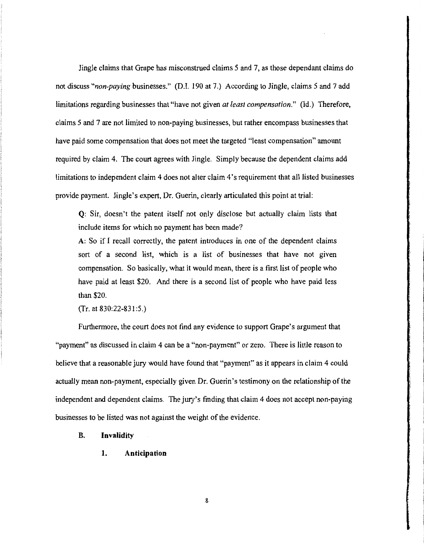Jingle claims that Grape has misconstrued claims *5* and 7, as those dependant claims do not discuss *"non-paying* businesses." (D.I. 190 at 7.) According to Jingle, claims *5* and 7 add limitations regarding businesses that "have not given *at least compensation."* (ld.) Therefore, claims 5 and 7 are not limited to non-paying businesses, but rather encompass businesses that have paid some compensation that does not meet the targeted "least compensation" amount required by claim 4. The court agrees with Jingle. Simply because the dependent claims add limitations to independent claim 4 does not alter claim 4 's requirement that all listed businesses provide payment. Jingle's expert, Dr. Guerin, clearly articulated this point at trial:

**Q:** Sir, doesn't the patent itself not only disclose but actually claim lists that include items for which no payment has been made?

A: So if I recall correctly, the patent introduces in one of the dependent claims sort of a second list, which is a list of businesses that have not given compensation. So basically, what it would mean, there is a first list of people who have paid at least \$20. And there is a second list of people who have paid less than \$20.

 $(Tr. at 830:22-831:5.)$ 

Furthermore, the court does not find any evidence to support Grape's argument that "payment" as discussed in claim 4 can be a "non-payment" or zero. There is little reason to believe that a reasonable jury would have found that "payment" as it appears in claim 4 could actually mean non-payment, especially given Dr. Guerin's testimony on the relationship of the independent and dependent claims. The jury's finding that claim 4 does not accept non-paying businesses to be listed was not against the weight of the evidence.

## **B. Invalidity**

**1. Anticipation**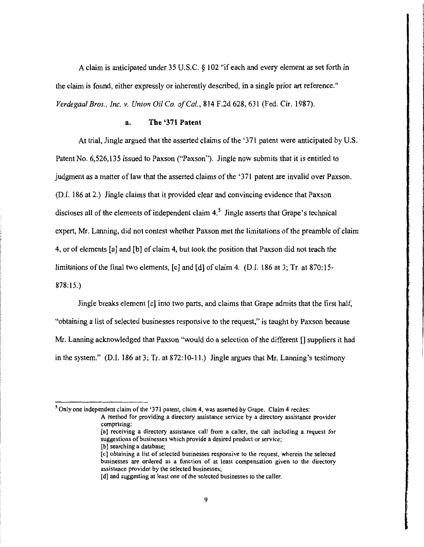A claim is anticipated under 35 U .S.C. § 102 "if each and every element as set forth in the claim is found, either expressly or inherently described, in a single prior art reference." *Verdegaal Bros., Inc. v. Union Oil Co. ofCa/.,* 814 F.2d 628,631 (Fed. Cir. 1987).

# **a. The '371 Patent**

At trial, Jingle argued that the asserted claims of the '371 patent were anticipated by U.S. Patent No. 6,526,135 issued to Paxson ("Paxson"). Jingle now submits that it is entitled to judgment as a matter of law that the asserted claims of the '371 patent are invalid over Paxson. (D.I. 186 at 2.) Jingle claims that it provided clear and convincing evidence that Paxson discloses all of the elements of independent claim  $4<sup>5</sup>$  Jingle asserts that Grape's technical expert, Mr. Lanning, did not contest whether Paxson met the limitations of the preamble of claim 4, or of elements [a] and [b] of claim 4, but took the position that Paxson did not teach the limitations ofthe final two elements, [c] and [d] of claim 4. (D.I. 186 at 3; Tr. at 870:15- 878:15.)

**International Control of the Control of the United States** 

**for the second contract** 

**International Control** 

Jingle breaks element [ c] into two parts, and claims that Grape admits that the first half, "obtaining a list of selected businesses responsive to the request," is taught by Paxson because Mr. Lanning acknowledged that Paxson "would do a selection of the different [] suppliers it had in the system." (D.I. 186 at 3; Tr. at 872:10-11.) Jingle argues that Mr. Lanning's testimony

[b] searching a database;

<sup>&</sup>lt;sup>5</sup> Only one independent claim of the '371 patent, claim 4, was asserted by Grape. Claim 4 recites: A method for providing a directory assistance service by a directory assistance provider comprising: [a] receiving a directory assistance call from a caller, the call including a request for suggestions of businesses which provide a desired product or service;

<sup>[</sup>c] obtaining a list of selected businesses responsive to the request, wherein the selected businesses are ordered as a function of at least compensation given to the directory assistance provider by the selected businesses;

<sup>[</sup>d] and suggesting at least one of the selected businesses to the caller.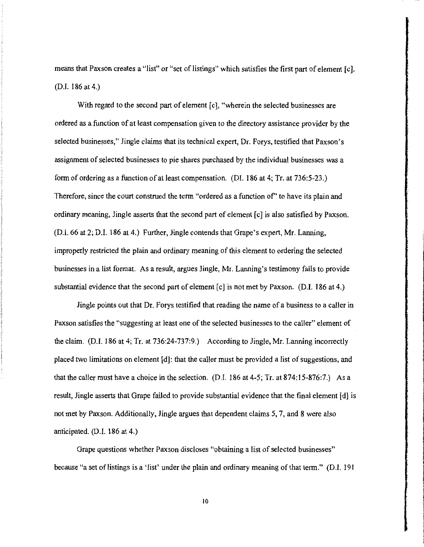means that Paxson creates a "list" or "set of listings" which satisfies the first part of element [c]. (D.I. 186 at 4.)

With regard to the second part of element [c], "wherein the selected businesses are ordered as a function of at least compensation given to the directory assistance provider by the selected businesses," Jingle claims that its technical expert, Dr. Forys, testified that Paxson's assignment of selected businesses to pie shares purchased by the individual businesses was a form of ordering as a function of at least compensation. (DI. 186 at 4; Tr. at 736:5-23.) Therefore, since the court construed the term "ordered as a function of' to have its plain and ordinary meaning, Jingle asserts that the second part of element [ c] is also satisfied by Paxson. (D.I. 66 at 2; D.l. 186 at 4.) Further, Jingle contends that Grape's expert, Mr. Lanning, improperly restricted the plain and ordinary meaning of this element to ordering the selected businesses in a list format. As a result, argues Jingle, Mr. Lanning's testimony fails to provide substantial evidence that the second part of element  $[c]$  is not met by Paxson. (D.I. 186 at 4.)

Jingle points out that Dr. Forys testified that reading the name of a business to a caller in Paxson satisfies the "suggesting at least one of the selected businesses to the caller" element of the claim. (D.I. 186 at 4; Tr. at 736:24-737:9.) According to Jingle, Mr. Lanning incorrectly placed two limitations on element [d): that the caller must be provided a list of suggestions, and that the caller must have a choice in the selection. (D.I. 186 at 4-5; Tr. at 874: 15-876:7.) As a result, Jingle asserts that Grape failed to provide substantial evidence that the final element [ d] is not met by Paxson. Additionally, Jingle argues that dependent claims 5, 7, and 8 were also anticipated. (D.I. 186 at 4.)

Grape questions whether Paxson discloses "obtaining a list of selected businesses" because "a set of listings is a 'list' under the plain and ordinary meaning of that term." (D.I. 191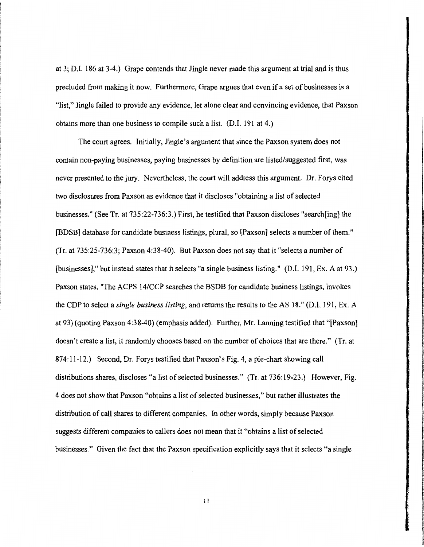at 3; D.l. 186 at 3-4.) Grape contends that Jingle never made this argument at trial and is thus precluded from making it now. Furthermore, Grape argues that even if a set of businesses is a "list," Jingle failed to provide any evidence, let alone clear and convincing evidence, that Paxson obtains more than one business to compile such a list. (D.I. 191 at 4.)

The court agrees. Initially, Jingle's argument that since the Paxson system does not contain non-paying businesses, paying businesses by definition are listed/suggested first, was never presented to the jury. Nevertheless, the court will address this argument. Dr. Forys cited two disclosures from Paxson as evidence that it discloses "obtaining a list of selected businesses." (See Tr. at 735:22-736:3.) First, he testified that Paxson discloses "search[ing] the [BDSB] database for candidate business listings, plural, so [Paxson] selects a number of them." (Tr. at 735:25-736:3; Paxson 4:38-40). But Paxson does not say that it "selects a number of [businesses]," but instead states that it selects "a single business listing." (D.I. 191, Ex. A at 93.) Paxson states, "The ACPS 14/CCP searches the BSDB for candidate business listings, invokes the CDP to select a *single business listing,* and returns the results to the AS 18." (D.I. 191, Ex. A at 93) (quoting Paxson 4:38-40) (emphasis added). Further, Mr. Lanning testified that "[Paxson] doesn't create a list, it randomly chooses based on the number of choices that are there." (Tr. at 874: 11-12.) Second, Dr. Forys testified that Paxson's Fig. 4, a pie-chart showing call distributions shares, discloses "a list of selected businesses." (Tr. at 736:19-23.) However, Fig. 4 does not show that Paxson "obtains a list of selected businesses," but rather illustrates the distribution of call shares to different companies. In other words, simply because Paxson suggests different companies to callers does not mean that it "obtains a list of selected businesses." Given the fact that the Paxson specification explicitly says that it selects "a single

**In the company of the company of the company of the company of the company of the company of the company of the company of the company of the company of the company of the company of the company of the company of the comp** 

**In the Community of Community Community Community** 

**Industrial Character Company Control Community Property** f

II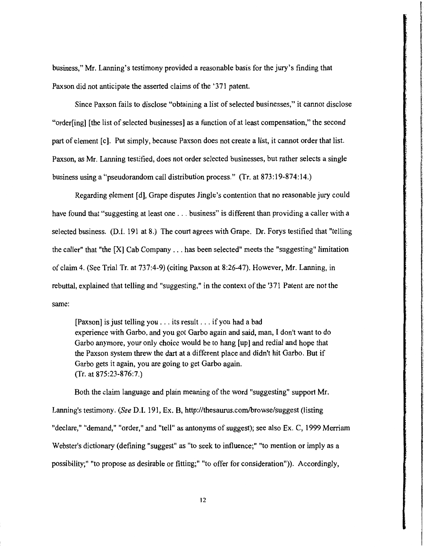business," Mr. Lanning's testimony provided a reasonable basis for the jury's finding that Paxson did not anticipate the asserted claims of the '371 patent.

f I ! la di Malaysia.<br>Lihat di Malaysia.

**International Community Community** 

the main and the contract of the contract of the contract of the contract of the contract of the contract of the contract of the contract of the contract of the contract of the contract of the contract of the contract of t indirikanistikani

**International State** 

Since Paxson fails to disclose "obtaining a list of selected businesses," it cannot disclose "order[ing] [the list of selected businesses] as a function of at least compensation," the second part of element [c]. Put simply, because Paxson does not create a list, it cannot order that list. Paxson, as Mr. Lanning testified, does not order selected businesses, but rather selects a single business using a "pseudorandom call distribution process." (Tr. at 873:19-874:14.)

Regarding element [d], Grape disputes Jingle's contention that no reasonable jury could have found that "suggesting at least one . . . business" is different than providing a caller with a selected business. (D.I. 191 at 8.) The court agrees with Grape. Dr. Forys testified that "telling the caller" that "the [X] Cab Company ... has been selected" meets the "suggesting" limitation of claim 4. (See Trial Tr. at 737:4-9) (citing Paxson at 8:26-47). However, Mr. Lanning, in rebuttal, explained that telling and "suggesting," in the context of the '371 Patent are not the same:

[Paxson] is just telling you ... its result ... if you had a bad experience with Garbo, and you got Garbo again and said, man, I don't want to do Garbo anymore, your only choice would be to hang [up] and redial and hope that the Paxson system threw the dart at a different place and didn't hit Garbo. But if Garbo gets it again, you are going to get Garbo again. (Tr. at 875:23-876:7.)

Both the claim language and plain meaning of the word "suggesting" support Mr. Lanning's testimony. (See D.I. 191, Ex. B, http://thesaurus.com/browse/suggest (listing "declare," "demand," "order," and "tell" as antonyms of suggest); see also Ex. C, 1999 Merriam Webster's dictionary (defining "suggest" as "to seek to influence;" "to mention or imply as a possibility;" "to propose as desirable or fitting;" "to offer for consideration")). Accordingly,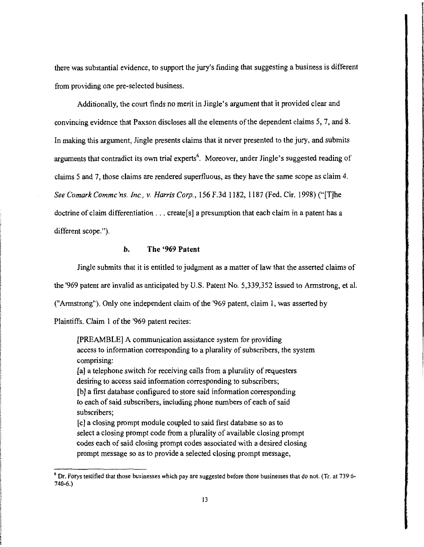there was substantial evidence, to support the jury's finding that suggesting a business is different from providing one pre-selected business.

Additionally, the court finds no merit in Jingle's argument that it provided clear and convincing evidence that Paxson discloses all the elements of the dependent claims 5, 7, and 8. In making this argument, Jingle presents claims that it never presented to the jury, and submits arguments that contradict its own trial experts<sup>6</sup>. Moreover, under Jingle's suggested reading of claims 5 and 7, those claims are rendered superfluous, as they have the same scope as claim 4. *See Comark Commc 'ns. Inc., v. Harris Corp.,* 156 F.3d 1182, 1187 (Fed. Cir. 1998) ("[T]he doctrine of claim differentiation  $\dots$  create[s] a presumption that each claim in a patent has a different scope.").

# **b. The '969 Patent**

Jingle submits that it is entitled to judgment as a matter of law that the asserted claims of

the '969 patent are invalid as anticipated by U.S. Patent No. 5,339,352 issued to Armstrong, et al.

("Armstrong"). Only one independent claim of the '969 patent, claim **1,** was asserted by

Plaintiffs. Claim 1 of the '969 patent recites:

[PREAMBLE] A communication assistance system for providing access to information corresponding to a plurality of subscribers, the system comprising:

[a] a telephone switch for receiving calls from a plurality of requesters desiring to access said information corresponding to subscribers; [b] a first database configured to store said information corresponding to each of said subscribers, including phone numbers of each of said subscribers;

[c] a closing prompt module coupled to said first database so as to select a closing prompt code from a plurality of available closing prompt codes each of said closing prompt codes associated with a desired closing prompt message so as to provide a selected closing prompt message,

<sup>&</sup>lt;sup>6</sup> Dr. Forys testified that those businesses which pay are suggested before those businesses that do not. (Tr. at 739:6-740-6.)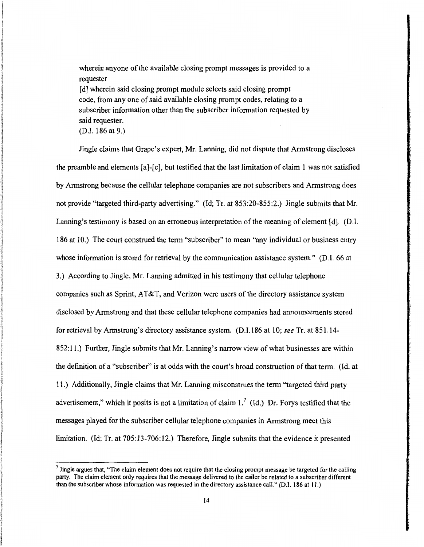wherein anyone of the available closing prompt messages is provided to a requester

[d] wherein said closing prompt module selects said closing prompt code, from any one of said available closing prompt codes, relating to a subscriber information other than the subscriber information requested by said requester.

(D.I. 186 at 9.)

Jingle claims that Grape's expert, Mr. Lanning, did not dispute that Armstrong discloses the preamble and elements [a]-[c], but testified that the last limitation of claim 1 was not satisfied by Annstrong because the cellular telephone companies are not subscribers and Annstrong does not provide "targeted third-party advertising." (Id; Tr. at 853:20-855:2.) Jingle submits that Mr. Lanning's testimony is based on an erroneous interpretation of the meaning of element [d]. (D.I. 186 at 10.) The court construed the term "subscriber" to mean "any individual or business entry whose information is stored for retrieval by the communication assistance system." (D.I. 66 at 3.) According to Jingle, Mr. Lanning admitted in his testimony that cellular telephone companies such as Sprint, AT&T, and Verizon were users of the directory assistance system disclosed by Annstrong and that these cellular telephone companies had announcements stored for retrieval by Annstrong's directory assistance system. (D.I.186 at 10; *see* Tr. at 851:14- 852:11.) Further, Jingle submits that Mr. Lanning's narrow view of what businesses are within the definition of a "subscriber" is at odds with the court's broad construction of that tenn. (ld. at 11.) Additionally, Jingle claims that Mr. Lanning misconstrues the term "targeted third party advertisement," which it posits is not a limitation of claim  $1.^{7}$  (Id.) Dr. Forys testified that the messages played for the subscriber cellular telephone companies in Armstrong meet this limitation. (Id; Tr. at 705:13-706:12.) Therefore, Jingle submits that the evidence it presented

<sup>&</sup>lt;sup>7</sup> Jingle argues that, "The claim element does not require that the closing prompt message be targeted for the calling party. The claim element only requires that the message delivered to the caller be related to a subscriber different than the subscriber whose information was requested in the directory assistance call." (D.I. I 86 at I I.)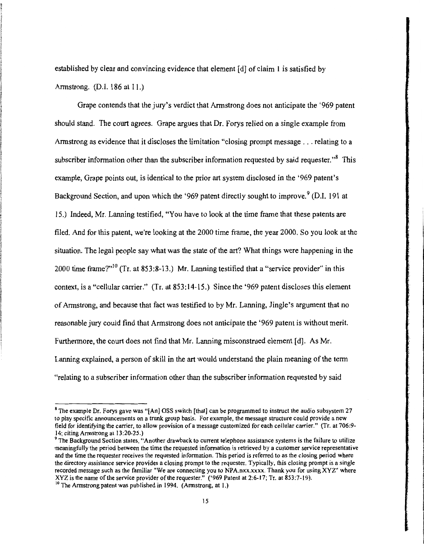established by clear and convincing evidence that element [ d] of claim I is satisfied by Annstrong. (D.I. 186 at II.)

Grape contends that the jury's verdict that Armstrong does not anticipate the '969 patent should stand. The court agrees. Grape argues that Dr. Forys relied on a single example from Annstrong as evidence that it discloses the limitation "closing prompt message ... relating to a subscriber information other than the subscriber information requested by said requester."<sup>8</sup> This example, Grape points out, is identical to the prior art system disclosed in the '969 patent's Background Section, and upon which the '969 patent directly sought to improve.<sup>9</sup> (D.I. 191 at 15.) Indeed, Mr. Lanning testified, "You have to look at the time frame that these patents are filed. And for this patent, we're looking at the 2000 time frame, the year 2000. So you look at the situation. The legal people say what was the state of the art? What things were happening in the 2000 time frame?"<sup>10</sup> (Tr. at 853:8-13.) Mr. Lanning testified that a "service provider" in this context, is a "cellular carrier." (Tr. at 853:14-15.) Since the '969 patent discloses this element of Annstrong, and because that fact was testified to by Mr. Lanning, Jingle's argument that no reasonable jury could find that Armstrong does not anticipate the '969 patent is without merit. Furthermore, the court does not find that Mr. Lanning misconstrued element [d]. As Mr. Lanning explained, a person of skill in the art would understand the plain meaning of the term "relating to a subscriber information other than the subscriber information requested by said

**IN AN ANTIQUES CONTROLS AND IN ANY** 

**International Properties** 

**Income and the control of the control of the control of the control of the control of the control of the control** 

income

**in abidant** 

<sup>&</sup>lt;sup>8</sup> The example Dr. Forys gave was "[An] OSS switch [that] can be programmed to instruct the audio subsystem 27 to play specific announcements on a trunk group basis. For example, the message structure could provide a new field for identifying the carrier, to allow provision of a message customized for each cellular carrier." (Tr. at 706:9- 14; citing Armstrong at 13:20-25.)<br><sup>9</sup> The Background Section states, "Another drawback to current telephone assistance systems is the failure to utilize

meaningfully the period between the time the requested information is retrieved by a customer service representative and the time the requester receives the requested information. This period is referred to as the closing period where the directory assistance service provides a closing prompt to the requester. Typically, this closing prompt is a single recorded message such as the familiar "We are connecting you to NPA.nxx.xxxx. Thank you for using XYZ" where XYZ is the name of the service provider of the requester." ('969 Patent at 2:6-17; Tr. at 853:7-19). <sup>10</sup> The Armstrong patent was published in 1994. (Armstrong, at 1.)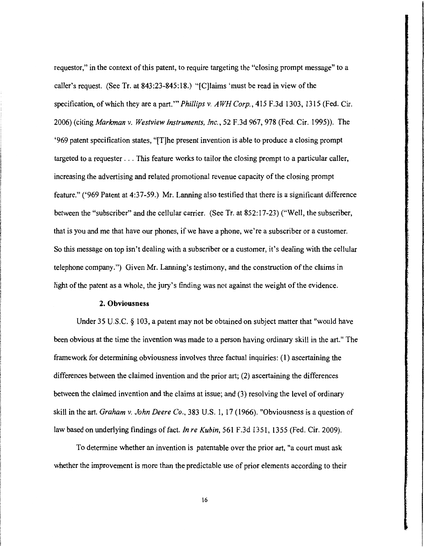requestor," in the context of this patent, to require targeting the "closing prompt message" to a caller's request. (See Tr. at 843:23-845:18.) "[C]laims 'must be read in view ofthe specification, of which they are a part.'" *Phillips v. AWH Corp.,* 415 F.3d 1303, 1315 (Fed. Cir. 2006) (citing *Markman v. Westview Instruments, Inc.,* 52 F.3d 967, 978 (Fed. Cir. 1995)). The '969 patent specification states, "[T]he present invention is able to produce a closing prompt targeted to a requester ... This feature works to tailor the closing prompt to a particular caller, increasing the advertising and related promotional revenue capacity of the closing prompt feature." ('969 Patent at 4:37-59.) Mr. Lanning also testified that there is a significant difference between the "subscriber" and the cellular carrier. (See Tr. at 852: 17-23) ("Well, the subscriber, that is you and me that have our phones, if we have a phone, we're a subscriber or a customer. So this message on top isn't dealing with a subscriber or a customer, it's dealing with the cellular telephone company.") Given Mr. Lanning's testimony, and the construction of the claims in light of the patent as a whole, the jury's finding was not against the weight of the evidence.

### **2. Obviousness**

Under 35 U.S.C. § 103, a patent may not be obtained on subject matter that "would have been obvious at the time the invention was made to a person having ordinary skill in the art." The framework for determining obviousness involves three factual inquiries: **(1)** ascertaining the differences between the claimed invention and the prior art; (2) ascertaining the differences between the claimed invention and the claims at issue; and (3) resolving the level of ordinary skill in the art. *Graham v. John Deere Co.,* 383 U.S. 1, 17 (1966). "Obviousness is a question of law based on underlying findings of fact. *In re Kubin,* 561 F.3d 1351, 1355 (Fed. Cir. 2009).

To determine whether an invention is patentable over the prior art, "a court must ask whether the improvement is more than the predictable use of prior elements according to their

16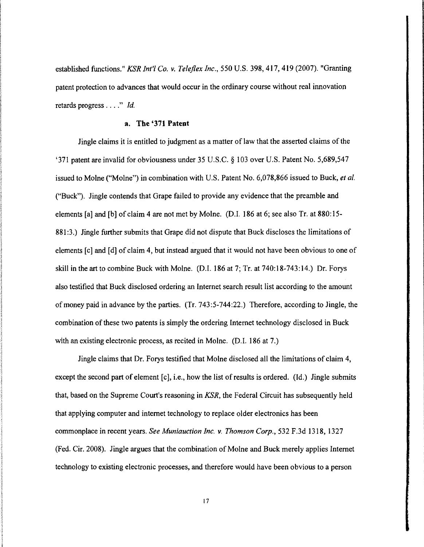established functions." *KSR Jnt'l Co. v. Telej/ex Inc.,* 550 U.S. 398, 417, 419 (2007). "Granting patent protection to advances that would occur in the ordinary course without real innovation retards progress .... " *ld.* 

## **a. The '371 Patent**

Jingle claims it is entitled to judgment as a matter of law that the asserted claims of the '371 patent are invalid for obviousness under 35 U.S.C. § 103 over U.S. Patent No. 5,689,547 issued to Moine ("Moine") in combination with U.S. Patent No. 6,078,866 issued to Buck, *eta/.*  ("Buck"). Jingle contends that Grape failed to provide any evidence that the preamble and elements [a] and [b) of claim 4 are not met by Moine. (D.I. 186 at 6; see also Tr. at 880:15- 881:3.) Jingle further submits that Grape did not dispute that Buck discloses the limitations of elements [c] and [d] of claim 4, but instead argued that it would not have been obvious to one of skill in the art to combine Buck with Moine. (D.I. 186 at 7; Tr. at 740:18-743: 14.) Dr. Forys also testified that Buck disclosed ordering an Internet search result list according to the amount of money paid in advance by the parties. (Tr. 743:5-744:22.) Therefore, according to Jingle, the combination of these two patents is simply the ordering Internet technology disclosed in Buck with an existing electronic process, as recited in Molne. (D.I. 186 at 7.)

Jingle claims that Dr. Forys testified that Moine disclosed all the limitations of claim 4, except the second part of element  $[c]$ , i.e., how the list of results is ordered. (Id.) Jingle submits that, based on the Supreme Court's reasoning in *KSR,* the Federal Circuit has subsequently held that applying computer and internet technology to replace older electronics has been commonplace in recent years. *See Muniauction Inc. v. Thomson Corp.,* 532 F.3d 1318, 1327 (Fed. Cir. 2008). Jingle argues that the combination of Moine and Buck merely applies Internet technology to existing electronic processes, and therefore would have been obvious to a person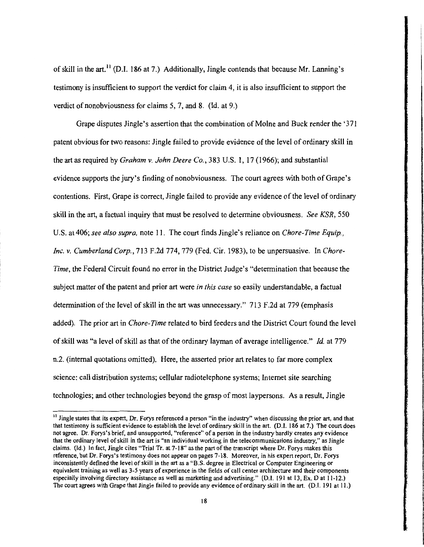of skill in the art.<sup>11</sup> (D.I. 186 at 7.) Additionally, Jingle contends that because Mr. Lanning's testimony is insufficient to support the verdict for claim 4, it is also insufficient to support the verdict of nonobviousness for claims  $5, 7$ , and  $8$ . (Id. at 9.)

Grape disputes Jingle's assertion that the combination of Molne and Buck render the '371 patent obvious for two reasons: Jingle failed to provide evidence of the level of ordinary skill in the art as required by *Graham v. John Deere Co.,* 383 U.S. I, 17 (1966); and substantial evidence supports the jury's finding of nonobviousness. The court agrees with both of Grape's contentions. First, Grape is correct, Jingle failed to provide any evidence of the level of ordinary skill in the art, a factual inquiry that must be resolved to determine obviousness. *See KSR,* 550 U.S. at 406; *see also supra,* note 11. The court finds Jingle's reliance on *Chore-Time Equip., Inc. v. Cumberland Corp.,* 713 F.2d 774, 779 (Fed. Cir. 1983), to be unpersuasive. In *Chore-Time,* the Federal Circuit found no error in the District Judge's "determination that because the subject matter of the patent and prior art were *in this case* so easily understandable, a factual determination of the level of skill in the art was unnecessary." 713 F.2d at 779 (emphasis added). The prior art in *Chore-Time* related to bird feeders and the District Court found the level of skill was "a level of skill as that of the ordinary layman of average intelligence." *ld* at 779 n.2. (internal quotations omitted). Here, the asserted prior art relates to far more complex science: call distribution systems; cellular radiotelephone systems; Internet site searching technologies; and other technologies beyond the grasp of most laypersons. As a result, Jingle

<sup>&</sup>lt;sup>11</sup> Jingle states that its expert, Dr. Forys referenced a person "in the industry" when discussing the prior art, and that that testimony is sufficient evidence to establish the level of ordinary skill in the art. (D.I. 186 at 7.) The court does not agree. Dr. Forys's brief, and unsupported, "reference" of a person in the industry hardly creates any evidence that the ordinary level of skill in the art is "an individual working in the telecommunications industry," as Jingle claims. (ld.) In fact, Jingle cites "Trial Tr. at 7-18" as the part ofthe transcript where Dr. Forys makes this reference, but Dr. Forys's testimony does not appear on pages 7-18. Moreover, in his expert report, Dr. Forys inconsistently defined the level of skill in the art as a "B.S. degree in Electrical or Computer Engineering or equivalent training as well as 3-5 years of experience in the fields of call center architecture and their components especially involving directory assistance as well as marketing and advertising." (D.I. 191 at 13, Ex. D at 11-12.) The court agrees with Grape that Jingle failed to provide any evidence of ordinary skill in the art. (D.J. 191 at II.)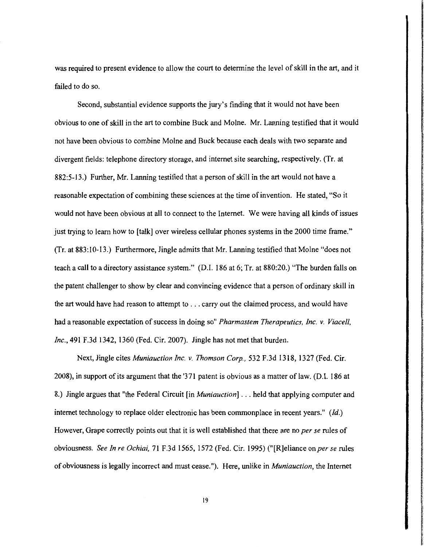was required to present evidence to allow the court to determine the level of skill in the art, and it failed to do so.

Second, substantial evidence supports the jury's finding that it would not have been obvious to one of skill in the art to combine Buck and Moine. Mr. Lanning testified that it would not have been obvious to combine Moine and Buck because each deals with two separate and divergent fields: telephone directory storage, and internet site searching, respectively. (Tr. at 882:5-13.) Further, Mr. Lanning testified that a person of skill in the art would not have a reasonable expectation of combining these sciences at the time of invention. He stated, "So it would not have been obvious at all to connect to the Internet. We were having all kinds of issues just trying to learn how to [talk] over wireless cellular phones systems in the 2000 time frame." (Tr. at 883:10-13.) Furthermore, Jingle admits that Mr. Lanning testified that Moine "does not teach a call to a directory assistance system." (D.I. 186 at 6; Tr. at 880:20.) "The burden falls on the patent challenger to show by clear and convincing evidence that a person of ordinary skill in the art would have had reason to attempt to ... carry out the claimed process, and would have had a reasonable expectation of success in doing so" *Pharmastem Therapeutics, Inc. v. Viacell, Inc.,* 491 F.3d 1342, 1360 (Fed. Cir. 2007). Jingle has not met that burden.

Next, Jingle cites *Muniauction Inc. v. Thomson Corp.,* 532 F.3d 1318, 1327 (Fed. Cir. 2008), in support of its argument that the '3 71 patent is obvious as a matter of law. (D.I. 186 at 8.) Jingle argues that "the Federal Circuit [in *Muniauction]* ... held that applying computer and internet technology to replace older electronic has been commonplace in recent years."  $(id.)$ However, Grape correctly points out that it is well established that there are no *per se* rules of obviousness. *See In re Ochiai,* 71 F.3d 1565, 1572 (Fed. Cir. 1995) ("[R]eliance on *per se* rules of obviousness is legally incorrect and must cease."). Here, unlike in *Muniauction,* the Internet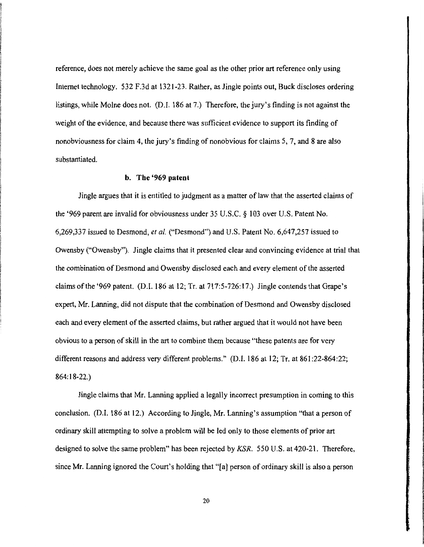reference, does not merely achieve the same goal as the other prior art reference only using Internet technology. 532 F.3d at 1321-23. Rather, as Jingle points out, Buck discloses ordering listings, while Moine does not. (D.I. 186 at 7.) Therefore, the jury's finding is not against the weight of the evidence, and because there was sufficient evidence to support its finding of nonobviousness for claim 4, the jury's finding of nonobvious for claims 5, 7, and 8 are also substantiated.

#### **b. The '969 patent**

Jingle argues that it is entitled to judgment as a matter of law that the asserted claims of the '969 parent are invalid for obviousness under 35 U.S.C. *§* 103 over U.S. Patent No. 6,269,337 issued to Desmond, *eta/.* ("Desmond") and U.S. Patent No. 6,647,257 issued to Owensby ("Owensby"). Jingle claims that it presented clear and convincing evidence at trial that the combination of Desmond and Owensby disclosed each and every element of the asserted claims ofthe '969 patent. (D.I. 186 at 12; Tr. at 717:5-726:17.) Jingle contends that Grape's expert, Mr. Lanning, did not dispute that the combination of Desmond and Owensby disclosed each and every element of the asserted claims, but rather argued that it would not have been obvious to a person of skill in the art to combine them because "these patents are for very different reasons and address very different problems." (D.I. 186 at 12; Tr. at 861:22-864:22; 864: 18-22.)

Jingle claims that Mr. Lanning applied a legally incorrect presumption in coming to this conclusion. (D.I. 186 at 12.) According to Jingle, Mr. Lanning's assumption "that a person of ordinary skill attempting to solve a problem will be led only to those elements of prior art designed to solve the same problem" has been rejected by KSR. 550 U.S. at 420-21. Therefore, since Mr. Lanning ignored the Court's holding that "[a] person of ordinary skill is also a person

20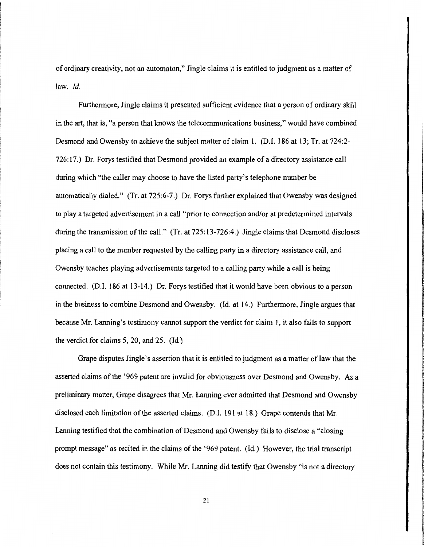of ordinary creativity, not an automaton," Jingle claims it is entitled to judgment as a matter of law. *ld.* 

Furthermore, Jingle claims it presented sufficient evidence that a person of ordinary skill in the art, that is, "a person that knows the telecommunications business," would have combined Desmond and Owensby to achieve the subject matter of claim I. (D.I. I86 at I3; Tr. at 724:2- 726:I7.) Dr. Forys testified that Desmond provided an example of a directory assistance call during which "the caller may choose to have the listed party's telephone number be automatically dialed." (Tr. at 725:6-7.) Dr. Forys further explained that Owensby was designed to play a targeted advertisement in a call "prior to connection and/or at predetermined intervals during the transmission of the call." (Tr. at 725:13-726:4.) Jingle claims that Desmond discloses placing a call to the number requested by the calling party in a directory assistance call, and Owensby teaches playing advertisements targeted to a calling party while a call is being connected. (D.I. I86 at 13-14.) Dr. Forys testified that it would have been obvious to a person in the business to combine Desmond and Owensby. (Id. at I4.) Furthermore, Jingle argues that because Mr. Lanning's testimony cannot support the verdict for claim I, it also fails to support the verdict for claims 5, 20, and 25. (Id)

Grape disputes Jingle's assertion that it is entitled to judgment as a matter of law that the asserted claims of the '969 patent are invalid for obviousness over Desmond and Owensby. As a preliminary matter, Grape disagrees that Mr. Lanning ever admitted that Desmond and Owensby disclosed each limitation of the asserted claims. (D.I. I91 at I8.) Grape contends that Mr. Lanning testified that the combination of Desmond and Owensby fails to disclose a "closing prompt message" as recited in the claims of the '969 patent. (Id.) However, the trial transcript does not contain this testimony. While Mr. Lanning did testify that Owensby "is not a directory

21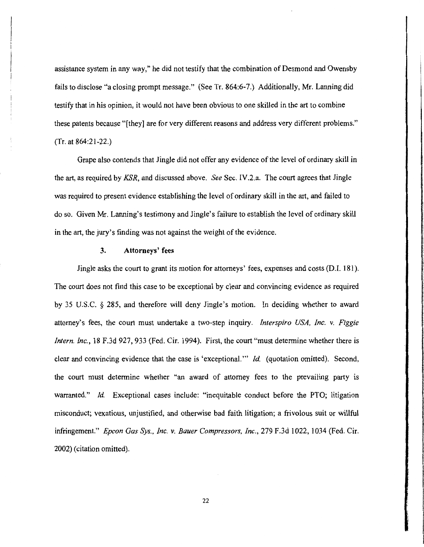assistance system in any way," he did not testify that the combination of Desmond and Owensby fails to disclose "a closing prompt message." (See Tr. 864:6-7.) Additionally, Mr. Lanning did testify that in his opinion, it would not have been obvious to one skilled in the art to combine these patents because "[they] are for very different reasons and address very different problems." (Tr. at 864:21-22.)

Grape also contends that Jingle did not offer any evidence of the level of ordinary skill in the art, as required by *KSR,* and discussed above. *See* Sec. IV.2.a. The court agrees that Jingle was required to present evidence establishing the level of ordinary ski11 in the art, and failed to do so. Given Mr. Lanning's testimony and Jingle's failure to establish the level of ordinary skill in the art, the jury's finding was not against the weight of the evidence.

## **3. Attorneys' fees**

Jingle asks the court to grant its motion for attorneys' fees, expenses and costs (0.1. 181). The court does not find this case to be exceptional by clear and convincing evidence as required by 35 U.S.C. § 285, and therefore will deny Jingle's motion. In deciding whether to award attorney's fees, the court must undertake a two-step inquiry. *Interspiro USA, Inc. v. Figgie Intern. Inc.*, 18 F.3d 927, 933 (Fed. Cir. 1994). First, the court "must determine whether there is clear and convincing evidence that the case is 'exceptional."' *!d.* (quotation omitted). Second, the court must determine whether "an award of attorney fees to the prevailing party is warranted." *Id.* Exceptional cases include: "inequitable conduct before the PTO; litigation misconduct; vexatious, unjustified, and otherwise bad faith litigation; a frivolous suit or willful infringement." *Epcon Gas Sys., Inc. v. Bauer Compressors, Inc.,* 279 F.3d 1022, 1034 (Fed. Cir. 2002) (citation omitted).

**ESCO COMPUTER ANNO DESCRIPTION ANNO**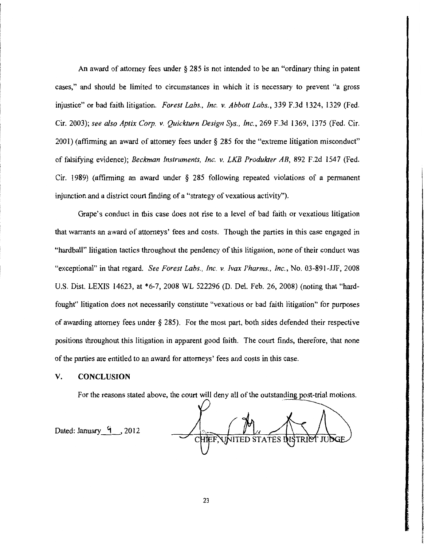An award of attorney fees under *§* 285 is not intended to be an "ordinary thing in patent cases," and should be limited to circumstances in which it is necessary to prevent "a gross injustice" or bad faith litigation. *Forest Labs., Inc. v. Abbott Labs.,* 339 F.3d 1324, 1329 (Fed. Cir. 2003); *see also Aptix Corp. v. Quick/urn Design Sys., Inc.,* 269 F.3d 1369, 1375 (Fed. Cir. 2001) (affirming an award of attorney fees under§ 285 for the "extreme litigation misconduct" of falsifying evidence); *Beckman Instruments, Inc. v. LKB Produkter AB,* 892 F.2d 1547 (Fed. Cir. 1989) (affirming an award under *§* 285 following repeated violations of a permanent injunction and a district court finding of a "strategy of vexatious activity").

Grape's conduct in this case does not rise to a level of bad faith or vexatious litigation that warrants an award of attorneys' fees and costs. Though the parties in this case engaged in "hardball" litigation tactics throughout the pendency of this litigation, none of their conduct was "exceptional" in that regard. *See Forest Labs., Inc. v. lvax Pharms., Inc.,* No. 03-891-JJF, 2008 U.S. Dist. LEXIS 14623, at \*6-7, 2008 WL 522296 (D. Del. Feb. 26, 2008) (noting that "hardfought" litigation does not necessarily constitute "vexatious or bad faith litigation" for purposes of awarding attorney fees under *§* 285). For the most part, both sides defended their respective positions throughout this litigation in apparent good faith. The court finds, therefore, that none of the parties are entitled to an award for attorneys' fees and costs in this case.

#### **V. CONCLUSION**

For the reasons stated above, the court will deny all of the outstanding post-trial motions.

Dated: January  $\frac{4}{1}$ , 2012